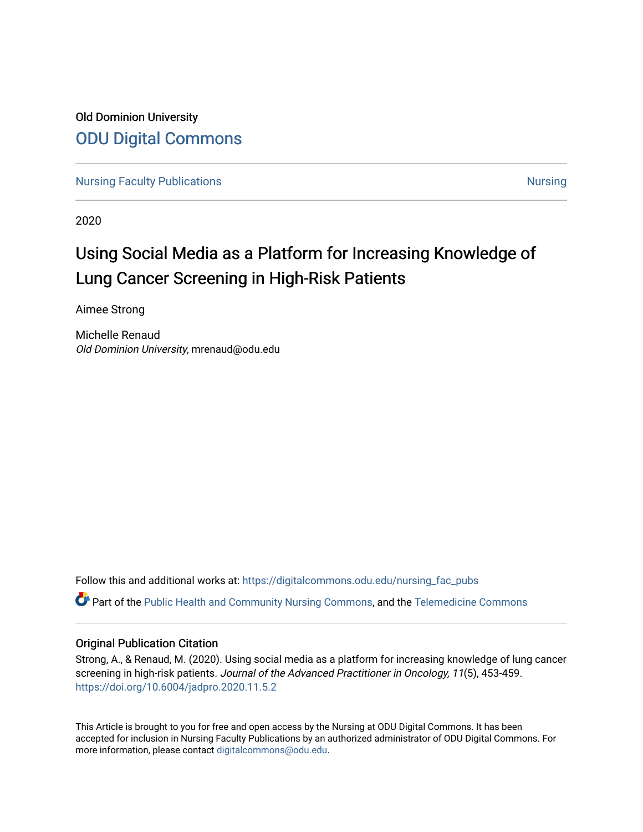Old Dominion University [ODU Digital Commons](https://digitalcommons.odu.edu/) 

[Nursing Faculty Publications](https://digitalcommons.odu.edu/nursing_fac_pubs) **[Nursing](https://digitalcommons.odu.edu/nursing) Faculty Publications** Nursing Nursing Nursing Nursing Nursing Nursing Nursing

2020

# Using Social Media as a Platform for Increasing Knowledge of Lung Cancer Screening in High-Risk Patients

Aimee Strong

Michelle Renaud Old Dominion University, mrenaud@odu.edu

Follow this and additional works at: [https://digitalcommons.odu.edu/nursing\\_fac\\_pubs](https://digitalcommons.odu.edu/nursing_fac_pubs?utm_source=digitalcommons.odu.edu%2Fnursing_fac_pubs%2F47&utm_medium=PDF&utm_campaign=PDFCoverPages)

Part of the [Public Health and Community Nursing Commons,](http://network.bepress.com/hgg/discipline/725?utm_source=digitalcommons.odu.edu%2Fnursing_fac_pubs%2F47&utm_medium=PDF&utm_campaign=PDFCoverPages) and the [Telemedicine Commons](http://network.bepress.com/hgg/discipline/1367?utm_source=digitalcommons.odu.edu%2Fnursing_fac_pubs%2F47&utm_medium=PDF&utm_campaign=PDFCoverPages) 

# Original Publication Citation

Strong, A., & Renaud, M. (2020). Using social media as a platform for increasing knowledge of lung cancer screening in high-risk patients. Journal of the Advanced Practitioner in Oncology, 11(5), 453-459. https://doi.org/10.6004/jadpro.2020.11.5.2

This Article is brought to you for free and open access by the Nursing at ODU Digital Commons. It has been accepted for inclusion in Nursing Faculty Publications by an authorized administrator of ODU Digital Commons. For more information, please contact [digitalcommons@odu.edu.](mailto:digitalcommons@odu.edu)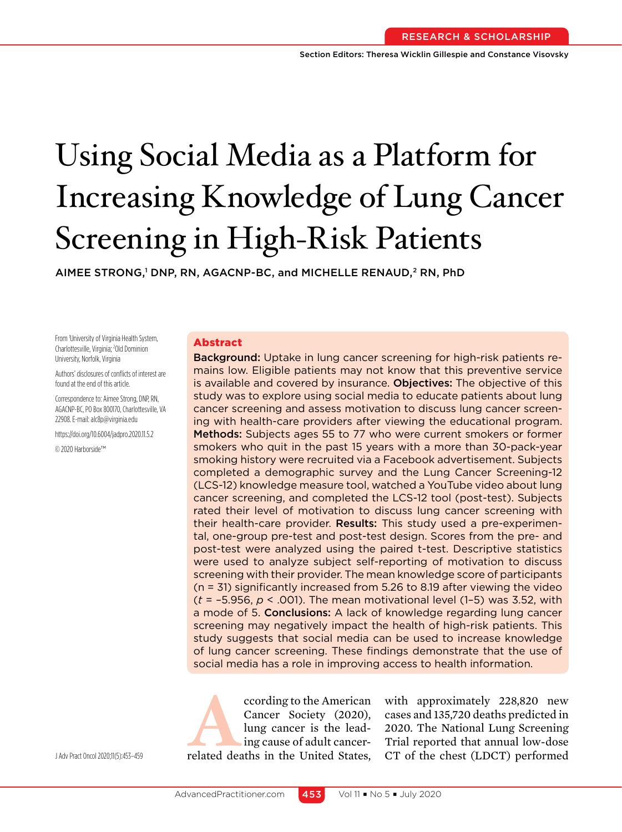# Using Social Media as a Platform for Increasing Knowledge of Lung Cancer Screening in High-Risk Patients

AIMEE STRONG,' DNP, RN, AGACNP-BC, and MICHELLE RENAUD,<sup>2</sup> RN, PhD

From 1 University of Virginia Health System, Charlottesville, Virginia; <sup>2</sup>Old Dominion University, Norfolk, Virginia

Authors' disclosures of conflicts of interest are found at the end of this article.

Correspondence to: Aimee Strong, DNP, RN, AGACNP-BC, PO Box 800170, Charlottesville, VA 22908. E-mail: alc8p@virginia.edu

https://doi.org/10.6004/jadpro.2020.11.5.2

© 2020 Harborside™

## Abstract

Background: Uptake in lung cancer screening for high-risk patients remains low. Eligible patients may not know that this preventive service is available and covered by insurance. Objectives: The objective of this study was to explore using social media to educate patients about lung cancer screening and assess motivation to discuss lung cancer screening with health-care providers after viewing the educational program. Methods: Subjects ages 55 to 77 who were current smokers or former smokers who quit in the past 15 years with a more than 30-pack-year smoking history were recruited via a Facebook advertisement. Subjects completed a demographic survey and the Lung Cancer Screening-12 (LCS-12) knowledge measure tool, watched a YouTube video about lung cancer screening, and completed the LCS-12 tool (post-test). Subjects rated their level of motivation to discuss lung cancer screening with their health-care provider. Results: This study used a pre-experimental, one-group pre-test and post-test design. Scores from the pre- and post-test were analyzed using the paired t-test. Descriptive statistics were used to analyze subject self-reporting of motivation to discuss screening with their provider. The mean knowledge score of participants (n = 31) significantly increased from 5.26 to 8.19 after viewing the video (*t* = –5.956, *p* < .001). The mean motivational level (1–5) was 3.52, with a mode of 5. Conclusions: A lack of knowledge regarding lung cancer screening may negatively impact the health of high-risk patients. This study suggests that social media can be used to increase knowledge of lung cancer screening. These findings demonstrate that the use of social media has a role in improving access to health information.

cording to the American<br>
Cancer Society (2020),<br>
lung cancer is the lead-<br>
ing cause of adult cancer-<br>
related deaths in the United States, Cancer Society (2020), lung cancer is the leading cause of adult cancer-

with approximately 228,820 new cases and 135,720 deaths predicted in 2020. The National Lung Screening Trial reported that annual low-dose JAdv Pract Oncol 2020;11(5):453-459 related deaths in the United States, CT of the chest (LDCT) performed

453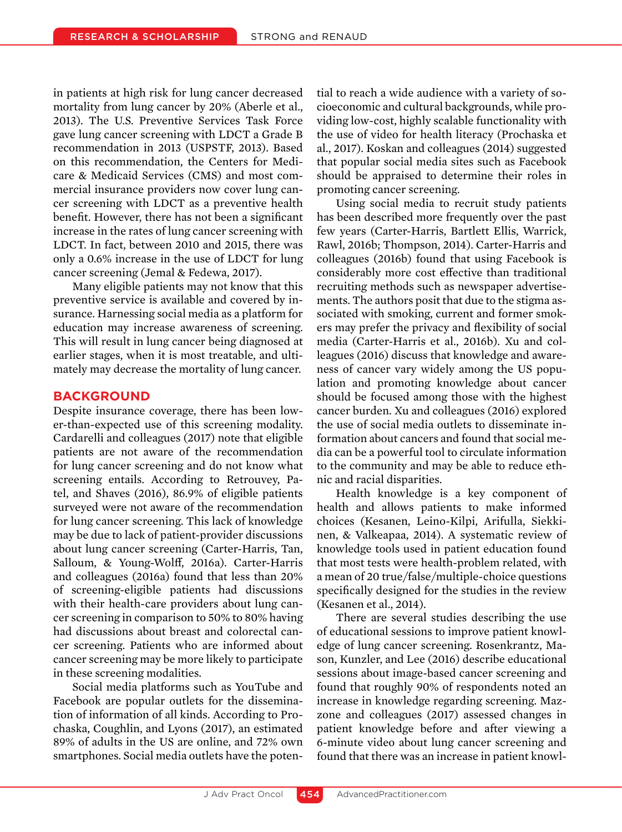in patients at high risk for lung cancer decreased mortality from lung cancer by 20% (Aberle et al., 2013). The U.S. Preventive Services Task Force gave lung cancer screening with LDCT a Grade B recommendation in 2013 (USPSTF, 2013). Based on this recommendation, the Centers for Medicare & Medicaid Services (CMS) and most commercial insurance providers now cover lung cancer screening with LDCT as a preventive health benefit. However, there has not been a significant increase in the rates of lung cancer screening with LDCT. In fact, between 2010 and 2015, there was only a 0.6% increase in the use of LDCT for lung cancer screening (Jemal & Fedewa, 2017).

Many eligible patients may not know that this preventive service is available and covered by insurance. Harnessing social media as a platform for education may increase awareness of screening. This will result in lung cancer being diagnosed at earlier stages, when it is most treatable, and ultimately may decrease the mortality of lung cancer.

# **BACKGROUND**

Despite insurance coverage, there has been lower-than-expected use of this screening modality. Cardarelli and colleagues (2017) note that eligible patients are not aware of the recommendation for lung cancer screening and do not know what screening entails. According to Retrouvey, Patel, and Shaves (2016), 86.9% of eligible patients surveyed were not aware of the recommendation for lung cancer screening. This lack of knowledge may be due to lack of patient-provider discussions about lung cancer screening (Carter-Harris, Tan, Salloum, & Young-Wolff, 2016a). Carter-Harris and colleagues (2016a) found that less than 20% of screening-eligible patients had discussions with their health-care providers about lung cancer screening in comparison to 50% to 80% having had discussions about breast and colorectal cancer screening. Patients who are informed about cancer screening may be more likely to participate in these screening modalities.

Social media platforms such as YouTube and Facebook are popular outlets for the dissemination of information of all kinds. According to Prochaska, Coughlin, and Lyons (2017), an estimated 89% of adults in the US are online, and 72% own smartphones. Social media outlets have the potential to reach a wide audience with a variety of socioeconomic and cultural backgrounds, while providing low-cost, highly scalable functionality with the use of video for health literacy (Prochaska et al., 2017). Koskan and colleagues (2014) suggested that popular social media sites such as Facebook should be appraised to determine their roles in promoting cancer screening.

Using social media to recruit study patients has been described more frequently over the past few years (Carter-Harris, Bartlett Ellis, Warrick, Rawl, 2016b; Thompson, 2014). Carter-Harris and colleagues (2016b) found that using Facebook is considerably more cost effective than traditional recruiting methods such as newspaper advertisements. The authors posit that due to the stigma associated with smoking, current and former smokers may prefer the privacy and flexibility of social media (Carter-Harris et al., 2016b). Xu and colleagues (2016) discuss that knowledge and awareness of cancer vary widely among the US population and promoting knowledge about cancer should be focused among those with the highest cancer burden. Xu and colleagues (2016) explored the use of social media outlets to disseminate information about cancers and found that social media can be a powerful tool to circulate information to the community and may be able to reduce ethnic and racial disparities.

Health knowledge is a key component of health and allows patients to make informed choices (Kesanen, Leino-Kilpi, Arifulla, Siekkinen, & Valkeapaa, 2014). A systematic review of knowledge tools used in patient education found that most tests were health-problem related, with a mean of 20 true/false/multiple-choice questions specifically designed for the studies in the review (Kesanen et al., 2014).

There are several studies describing the use of educational sessions to improve patient knowledge of lung cancer screening. Rosenkrantz, Mason, Kunzler, and Lee (2016) describe educational sessions about image-based cancer screening and found that roughly 90% of respondents noted an increase in knowledge regarding screening. Mazzone and colleagues (2017) assessed changes in patient knowledge before and after viewing a 6-minute video about lung cancer screening and found that there was an increase in patient knowl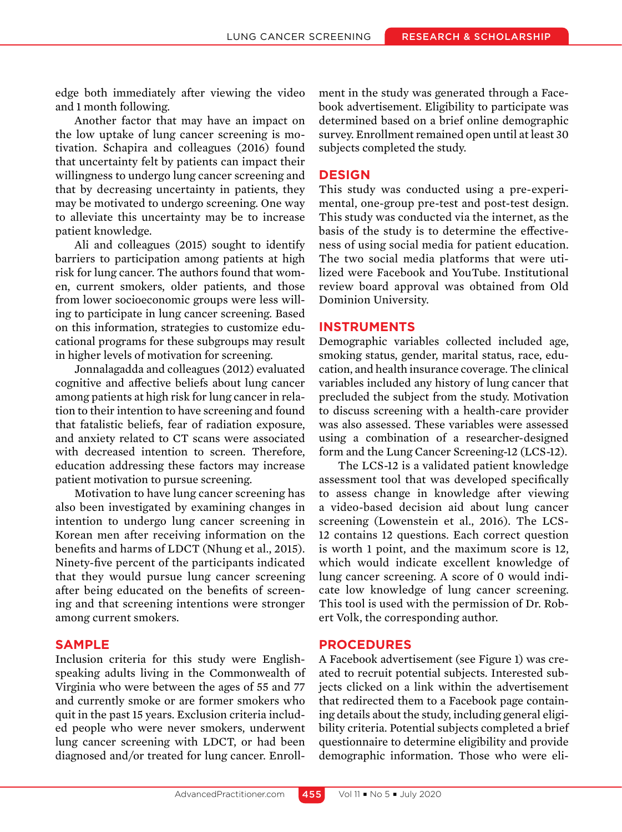edge both immediately after viewing the video and 1 month following.

Another factor that may have an impact on the low uptake of lung cancer screening is motivation. Schapira and colleagues (2016) found that uncertainty felt by patients can impact their willingness to undergo lung cancer screening and that by decreasing uncertainty in patients, they may be motivated to undergo screening. One way to alleviate this uncertainty may be to increase patient knowledge.

Ali and colleagues (2015) sought to identify barriers to participation among patients at high risk for lung cancer. The authors found that women, current smokers, older patients, and those from lower socioeconomic groups were less willing to participate in lung cancer screening. Based on this information, strategies to customize educational programs for these subgroups may result in higher levels of motivation for screening.

Jonnalagadda and colleagues (2012) evaluated cognitive and affective beliefs about lung cancer among patients at high risk for lung cancer in relation to their intention to have screening and found that fatalistic beliefs, fear of radiation exposure, and anxiety related to CT scans were associated with decreased intention to screen. Therefore, education addressing these factors may increase patient motivation to pursue screening.

Motivation to have lung cancer screening has also been investigated by examining changes in intention to undergo lung cancer screening in Korean men after receiving information on the benefits and harms of LDCT (Nhung et al., 2015). Ninety-five percent of the participants indicated that they would pursue lung cancer screening after being educated on the benefits of screening and that screening intentions were stronger among current smokers.

# **SAMPLE**

Inclusion criteria for this study were Englishspeaking adults living in the Commonwealth of Virginia who were between the ages of 55 and 77 and currently smoke or are former smokers who quit in the past 15 years. Exclusion criteria included people who were never smokers, underwent lung cancer screening with LDCT, or had been diagnosed and/or treated for lung cancer. Enroll-

ment in the study was generated through a Facebook advertisement. Eligibility to participate was determined based on a brief online demographic survey. Enrollment remained open until at least 30 subjects completed the study.

#### **DESIGN**

This study was conducted using a pre-experimental, one-group pre-test and post-test design. This study was conducted via the internet, as the basis of the study is to determine the effectiveness of using social media for patient education. The two social media platforms that were utilized were Facebook and YouTube. Institutional review board approval was obtained from Old Dominion University.

# **INSTRUMENTS**

Demographic variables collected included age, smoking status, gender, marital status, race, education, and health insurance coverage. The clinical variables included any history of lung cancer that precluded the subject from the study. Motivation to discuss screening with a health-care provider was also assessed. These variables were assessed using a combination of a researcher-designed form and the Lung Cancer Screening-12 (LCS-12).

The LCS-12 is a validated patient knowledge assessment tool that was developed specifically to assess change in knowledge after viewing a video-based decision aid about lung cancer screening (Lowenstein et al., 2016). The LCS-12 contains 12 questions. Each correct question is worth 1 point, and the maximum score is 12, which would indicate excellent knowledge of lung cancer screening. A score of 0 would indicate low knowledge of lung cancer screening. This tool is used with the permission of Dr. Robert Volk, the corresponding author.

# **PROCEDURES**

A Facebook advertisement (see Figure 1) was created to recruit potential subjects. Interested subjects clicked on a link within the advertisement that redirected them to a Facebook page containing details about the study, including general eligibility criteria. Potential subjects completed a brief questionnaire to determine eligibility and provide demographic information. Those who were eli-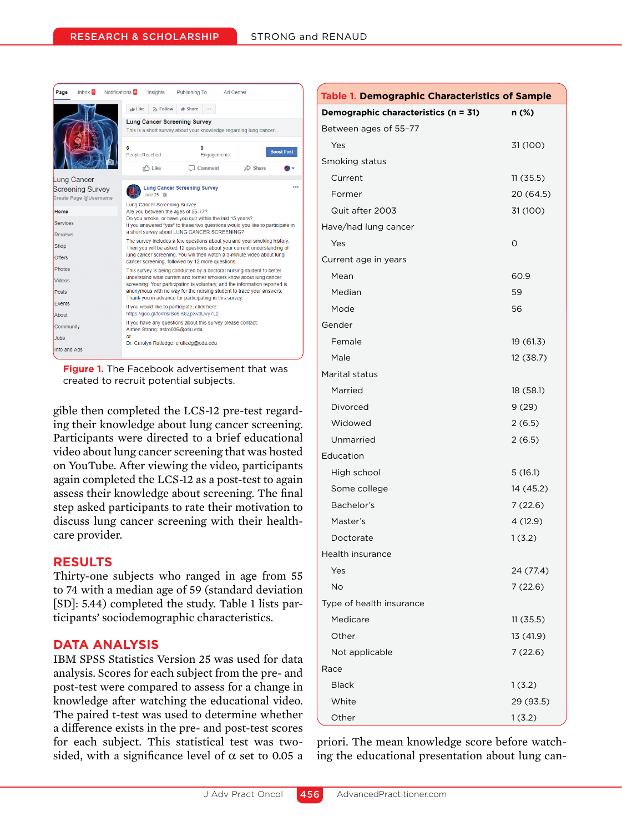| Page               | Inbox 3                 | Notifications <sup>6</sup> |                                                                                                                                                    | Insights                            | Publishing To                                 |             | Ad Center                                                              |                   |  |  |
|--------------------|-------------------------|----------------------------|----------------------------------------------------------------------------------------------------------------------------------------------------|-------------------------------------|-----------------------------------------------|-------------|------------------------------------------------------------------------|-------------------|--|--|
|                    |                         |                            | <b>ID</b> Like                                                                                                                                     | S Follow                            | $\triangle$ Share                             |             |                                                                        |                   |  |  |
|                    |                         |                            | <b>Lung Cancer Screening Survey</b><br>This is a short survey about your knowledge regarding lung cancer                                           |                                     |                                               |             |                                                                        |                   |  |  |
|                    |                         |                            | 6<br><b>People Reached</b>                                                                                                                         |                                     | O                                             | Engagements |                                                                        | <b>Boost Post</b> |  |  |
|                    |                         |                            |                                                                                                                                                    | n <sup>2</sup> Like                 |                                               | Comment     | $\triangle$ Share                                                      |                   |  |  |
| <b>Lung Cancer</b> |                         |                            |                                                                                                                                                    |                                     |                                               |             |                                                                        |                   |  |  |
|                    | <b>Screening Survey</b> |                            | <b>Lung Cancer Screening Survey</b><br>June 25 · 数                                                                                                 |                                     |                                               |             |                                                                        |                   |  |  |
|                    | Create Page @Username   |                            |                                                                                                                                                    | <b>Lung Cancer Screening Survey</b> |                                               |             |                                                                        |                   |  |  |
| Home               |                         |                            |                                                                                                                                                    |                                     | Are you between the ages of 55-77?            |             |                                                                        |                   |  |  |
| <b>Services</b>    |                         |                            | Do you smoke, or have you quit within the last 15 years?<br>If you answered "yes" to these two questions would you like to participate in          |                                     |                                               |             |                                                                        |                   |  |  |
| <b>Reviews</b>     |                         |                            | a short survey about LUNG CANCER SCREENING?                                                                                                        |                                     |                                               |             |                                                                        |                   |  |  |
| Shop               |                         |                            | The survey includes a few questions about you and your smoking history.<br>Then you will be asked 12 questions about your current understanding of |                                     |                                               |             |                                                                        |                   |  |  |
| <b>Offers</b>      |                         |                            | lung cancer screening. You will then watch a 3-minute video about lung<br>cancer screening, followed by 12 more questions.                         |                                     |                                               |             |                                                                        |                   |  |  |
| <b>Photos</b>      |                         |                            |                                                                                                                                                    |                                     |                                               |             | This survey is being conducted by a doctoral nursing student to better |                   |  |  |
| <b>Videos</b>      |                         |                            | understand what current and former smokers know about lung cancer<br>screening. Your participation is voluntary, and the information reported is   |                                     |                                               |             |                                                                        |                   |  |  |
| Posts              |                         |                            | anonymous with no way for the nursing student to trace your answers.<br>Thank you in advance for participating in this survey.                     |                                     |                                               |             |                                                                        |                   |  |  |
| <b>Fvents</b>      |                         |                            |                                                                                                                                                    |                                     | If you would like to participate, click here: |             |                                                                        |                   |  |  |
| About              |                         |                            |                                                                                                                                                    |                                     | https://qoo.ql/forms/So9iK8ZpXv3Lwy7L2        |             |                                                                        |                   |  |  |
| Community          |                         |                            |                                                                                                                                                    | Aimee Strong: astro006@odu.edu      |                                               |             | If you have any questions about this survey please contact:            |                   |  |  |
| Jobs               |                         |                            | or<br>Dr. Carolyn Rutledge: crutledg@odu.edu                                                                                                       |                                     |                                               |             |                                                                        |                   |  |  |
| Info and Ads       |                         |                            |                                                                                                                                                    |                                     |                                               |             |                                                                        |                   |  |  |
|                    |                         |                            |                                                                                                                                                    |                                     |                                               |             |                                                                        |                   |  |  |

**Figure 1.** The Facebook advertisement that was created to recruit potential subjects.

gible then completed the LCS-12 pre-test regarding their knowledge about lung cancer screening. Participants were directed to a brief educational video about lung cancer screening that was hosted on YouTube. After viewing the video, participants again completed the LCS-12 as a post-test to again assess their knowledge about screening. The final step asked participants to rate their motivation to discuss lung cancer screening with their healthcare provider.

# **RESULTS**

Thirty-one subjects who ranged in age from 55 to 74 with a median age of 59 (standard deviation [SD]: 5.44) completed the study. Table 1 lists participants' sociodemographic characteristics.

# **DATA ANALYSIS**

IBM SPSS Statistics Version 25 was used for data analysis. Scores for each subject from the pre- and post-test were compared to assess for a change in knowledge after watching the educational video. The paired t-test was used to determine whether a difference exists in the pre- and post-test scores for each subject. This statistical test was twosided, with a significance level of  $\alpha$  set to 0.05 a

| <b>Table 1. Demographic Characteristics of Sample</b> |           |  |  |  |  |  |  |
|-------------------------------------------------------|-----------|--|--|--|--|--|--|
| Demographic characteristics (n = 31)                  | n (%)     |  |  |  |  |  |  |
| Between ages of 55-77                                 |           |  |  |  |  |  |  |
| Yes                                                   | 31 (100)  |  |  |  |  |  |  |
| Smoking status                                        |           |  |  |  |  |  |  |
| Current                                               | 11(35.5)  |  |  |  |  |  |  |
| Former                                                | 20 (64.5) |  |  |  |  |  |  |
| Quit after 2003                                       | 31 (100)  |  |  |  |  |  |  |
| Have/had lung cancer                                  |           |  |  |  |  |  |  |
| Yes                                                   | O         |  |  |  |  |  |  |
| Current age in years                                  |           |  |  |  |  |  |  |
| Mean                                                  | 60.9      |  |  |  |  |  |  |
| Median                                                | 59        |  |  |  |  |  |  |
| Mode                                                  | 56        |  |  |  |  |  |  |
| Gender                                                |           |  |  |  |  |  |  |
| Female                                                | 19 (61.3) |  |  |  |  |  |  |
| Male                                                  | 12 (38.7) |  |  |  |  |  |  |
| Marital status                                        |           |  |  |  |  |  |  |
| Married                                               | 18 (58.1) |  |  |  |  |  |  |
| Divorced                                              | 9(29)     |  |  |  |  |  |  |
| Widowed                                               | 2(6.5)    |  |  |  |  |  |  |
| Unmarried                                             | 2(6.5)    |  |  |  |  |  |  |
| Education                                             |           |  |  |  |  |  |  |
| High school                                           | 5(16.1)   |  |  |  |  |  |  |
| Some college                                          | 14 (45.2) |  |  |  |  |  |  |
| Bachelor's                                            | 7(22.6)   |  |  |  |  |  |  |
| Master's                                              | 4 (12.9)  |  |  |  |  |  |  |
| Doctorate                                             | 1(3.2)    |  |  |  |  |  |  |
| Health insurance                                      |           |  |  |  |  |  |  |
| Yes                                                   | 24 (77.4) |  |  |  |  |  |  |
| No                                                    | 7(22.6)   |  |  |  |  |  |  |
| Type of health insurance                              |           |  |  |  |  |  |  |
| Medicare                                              | 11(35.5)  |  |  |  |  |  |  |
| Other                                                 | 13 (41.9) |  |  |  |  |  |  |
| Not applicable                                        | 7(22.6)   |  |  |  |  |  |  |
| Race                                                  |           |  |  |  |  |  |  |
| <b>Black</b>                                          | 1(3.2)    |  |  |  |  |  |  |
| White                                                 | 29 (93.5) |  |  |  |  |  |  |
| Other                                                 | 1(3.2)    |  |  |  |  |  |  |

priori. The mean knowledge score before watching the educational presentation about lung can-

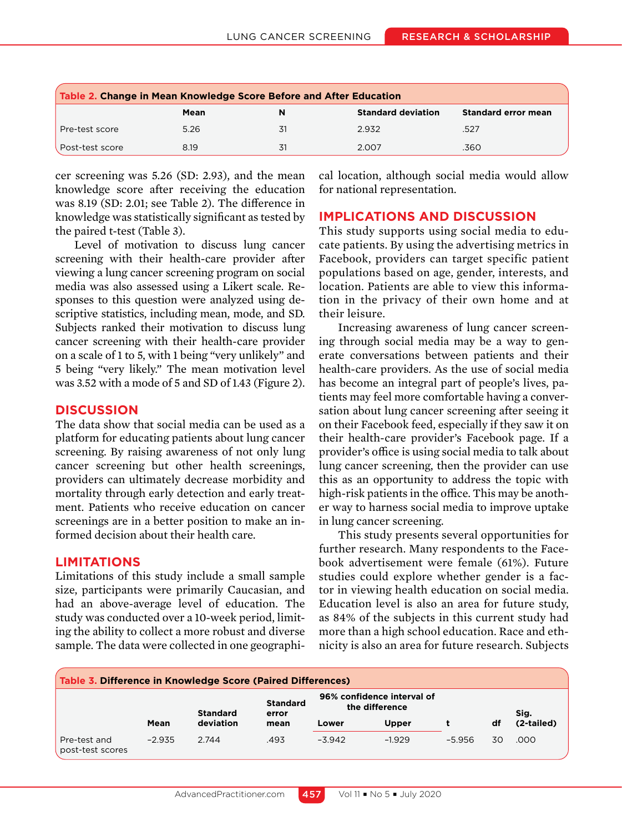| Table 2. Change in Mean Knowledge Score Before and After Education |      |    |                           |                            |  |  |  |
|--------------------------------------------------------------------|------|----|---------------------------|----------------------------|--|--|--|
|                                                                    | Mean | N  | <b>Standard deviation</b> | <b>Standard error mean</b> |  |  |  |
| Pre-test score                                                     | 5.26 | 31 | 2.932                     | .527                       |  |  |  |
| Post-test score                                                    | 8.19 | 31 | 2.007                     | .360                       |  |  |  |

cer screening was 5.26 (SD: 2.93), and the mean knowledge score after receiving the education was 8.19 (SD: 2.01; see Table 2). The difference in knowledge was statistically significant as tested by the paired t-test (Table 3).

Level of motivation to discuss lung cancer screening with their health-care provider after viewing a lung cancer screening program on social media was also assessed using a Likert scale. Responses to this question were analyzed using descriptive statistics, including mean, mode, and SD. Subjects ranked their motivation to discuss lung cancer screening with their health-care provider on a scale of 1 to 5, with 1 being "very unlikely" and 5 being "very likely." The mean motivation level was 3.52 with a mode of 5 and SD of 1.43 (Figure 2).

# **DISCUSSION**

The data show that social media can be used as a platform for educating patients about lung cancer screening. By raising awareness of not only lung cancer screening but other health screenings, providers can ultimately decrease morbidity and mortality through early detection and early treatment. Patients who receive education on cancer screenings are in a better position to make an informed decision about their health care.

# **LIMITATIONS**

Limitations of this study include a small sample size, participants were primarily Caucasian, and had an above-average level of education. The study was conducted over a 10-week period, limiting the ability to collect a more robust and diverse sample. The data were collected in one geographical location, although social media would allow for national representation.

# **IMPLICATIONS AND DISCUSSION**

This study supports using social media to educate patients. By using the advertising metrics in Facebook, providers can target specific patient populations based on age, gender, interests, and location. Patients are able to view this information in the privacy of their own home and at their leisure.

Increasing awareness of lung cancer screening through social media may be a way to generate conversations between patients and their health-care providers. As the use of social media has become an integral part of people's lives, patients may feel more comfortable having a conversation about lung cancer screening after seeing it on their Facebook feed, especially if they saw it on their health-care provider's Facebook page. If a provider's office is using social media to talk about lung cancer screening, then the provider can use this as an opportunity to address the topic with high-risk patients in the office. This may be another way to harness social media to improve uptake in lung cancer screening.

This study presents several opportunities for further research. Many respondents to the Facebook advertisement were female (61%). Future studies could explore whether gender is a factor in viewing health education on social media. Education level is also an area for future study, as 84% of the subjects in this current study had more than a high school education. Race and ethnicity is also an area for future research. Subjects

| Table 3. Difference in Knowledge Score (Paired Differences) |          |                              |                                  |                                              |              |          |    |            |  |
|-------------------------------------------------------------|----------|------------------------------|----------------------------------|----------------------------------------------|--------------|----------|----|------------|--|
|                                                             |          | <b>Standard</b><br>deviation | <b>Standard</b><br>error<br>mean | 96% confidence interval of<br>the difference |              |          |    | Sig.       |  |
|                                                             | Mean     |                              |                                  | Lower                                        | <b>Upper</b> |          | df | (2-tailed) |  |
| Pre-test and<br>post-test scores                            | $-2.935$ | 2.744                        | .493                             | $-3.942$                                     | $-1.929$     | $-5.956$ | 30 | .000       |  |

457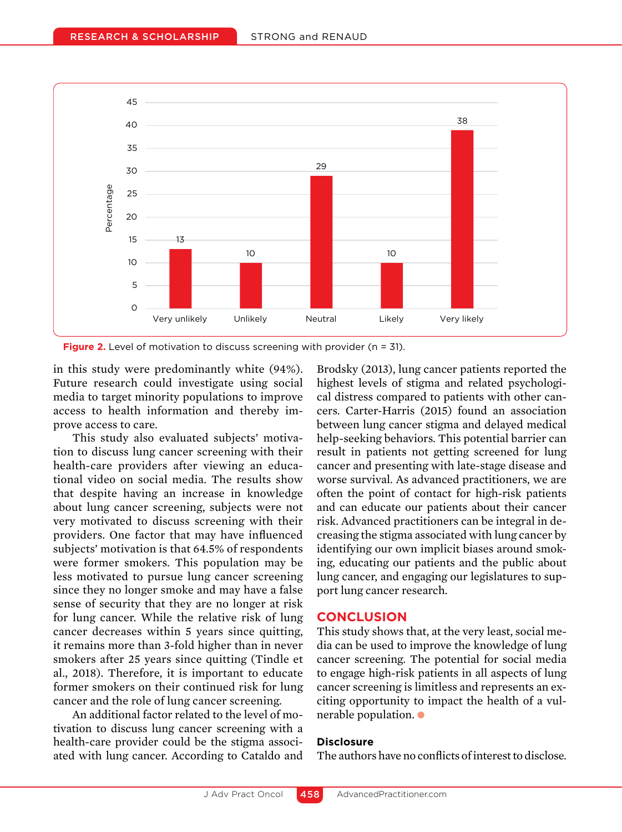

**Figure 2.** Level of motivation to discuss screening with provider (n = 31).

in this study were predominantly white (94%). Future research could investigate using social media to target minority populations to improve access to health information and thereby improve access to care.

This study also evaluated subjects' motivation to discuss lung cancer screening with their health-care providers after viewing an educational video on social media. The results show that despite having an increase in knowledge about lung cancer screening, subjects were not very motivated to discuss screening with their providers. One factor that may have influenced subjects' motivation is that 64.5% of respondents were former smokers. This population may be less motivated to pursue lung cancer screening since they no longer smoke and may have a false sense of security that they are no longer at risk for lung cancer. While the relative risk of lung cancer decreases within 5 years since quitting, it remains more than 3-fold higher than in never smokers after 25 years since quitting (Tindle et al., 2018). Therefore, it is important to educate former smokers on their continued risk for lung cancer and the role of lung cancer screening.

An additional factor related to the level of motivation to discuss lung cancer screening with a health-care provider could be the stigma associated with lung cancer. According to Cataldo and Brodsky (2013), lung cancer patients reported the highest levels of stigma and related psychological distress compared to patients with other cancers. Carter-Harris (2015) found an association between lung cancer stigma and delayed medical help-seeking behaviors. This potential barrier can result in patients not getting screened for lung cancer and presenting with late-stage disease and worse survival. As advanced practitioners, we are often the point of contact for high-risk patients and can educate our patients about their cancer risk. Advanced practitioners can be integral in decreasing the stigma associated with lung cancer by identifying our own implicit biases around smoking, educating our patients and the public about lung cancer, and engaging our legislatures to support lung cancer research.

## **CONCLUSION**

This study shows that, at the very least, social media can be used to improve the knowledge of lung cancer screening. The potential for social media to engage high-risk patients in all aspects of lung cancer screening is limitless and represents an exciting opportunity to impact the health of a vulnerable population.  $\bullet$ 

## **Disclosure**

The authors have no conflicts of interest to disclose.